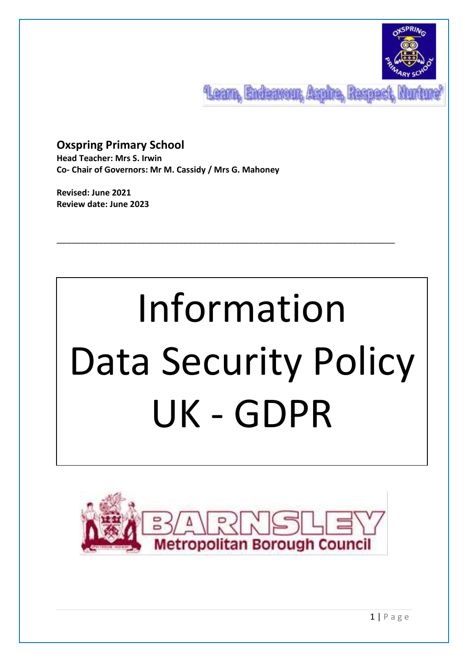

Leam, Endeavour, Aspire, Respect, N

**Oxspring Primary School Head Teacher: Mrs S. Irwin Co- Chair of Governors: Mr M. Cassidy / Mrs G. Mahoney**

**Revised: June 2021 Review date: June 2023**

# $\overline{1}$ **Our School's Mission 'To be a learning community with a culture of ambition and achievement'** Information Data Security Policy UK - GDPR

\_\_\_\_\_\_\_\_\_\_\_\_\_\_\_\_\_\_\_\_\_\_\_\_\_\_\_\_\_\_\_\_\_\_\_\_\_\_\_\_\_\_\_\_\_\_\_\_\_\_\_\_\_\_\_\_\_\_\_\_\_\_\_\_\_\_\_\_\_\_\_\_

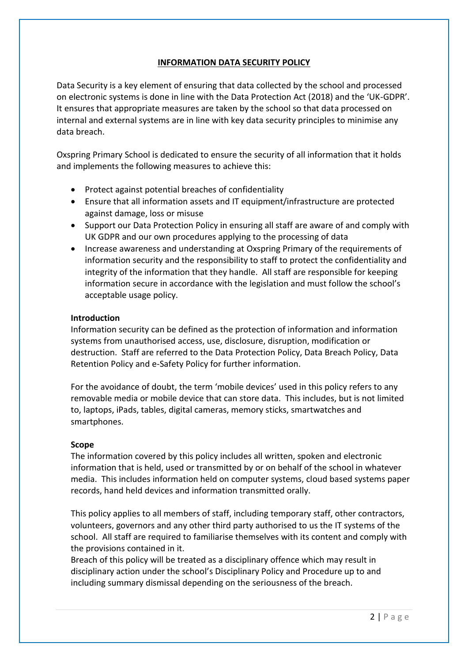## **INFORMATION DATA SECURITY POLICY**

Data Security is a key element of ensuring that data collected by the school and processed on electronic systems is done in line with the Data Protection Act (2018) and the 'UK-GDPR'. It ensures that appropriate measures are taken by the school so that data processed on internal and external systems are in line with key data security principles to minimise any data breach.

Oxspring Primary School is dedicated to ensure the security of all information that it holds and implements the following measures to achieve this:

- Protect against potential breaches of confidentiality
- Ensure that all information assets and IT equipment/infrastructure are protected against damage, loss or misuse
- Support our Data Protection Policy in ensuring all staff are aware of and comply with UK GDPR and our own procedures applying to the processing of data
- Increase awareness and understanding at Oxspring Primary of the requirements of information security and the responsibility to staff to protect the confidentiality and integrity of the information that they handle. All staff are responsible for keeping information secure in accordance with the legislation and must follow the school's acceptable usage policy.

#### **Introduction**

Information security can be defined as the protection of information and information systems from unauthorised access, use, disclosure, disruption, modification or destruction. Staff are referred to the Data Protection Policy, Data Breach Policy, Data Retention Policy and e-Safety Policy for further information.

For the avoidance of doubt, the term 'mobile devices' used in this policy refers to any removable media or mobile device that can store data. This includes, but is not limited to, laptops, iPads, tables, digital cameras, memory sticks, smartwatches and smartphones.

#### **Scope**

The information covered by this policy includes all written, spoken and electronic information that is held, used or transmitted by or on behalf of the school in whatever media. This includes information held on computer systems, cloud based systems paper records, hand held devices and information transmitted orally.

This policy applies to all members of staff, including temporary staff, other contractors, volunteers, governors and any other third party authorised to us the IT systems of the school. All staff are required to familiarise themselves with its content and comply with the provisions contained in it.

Breach of this policy will be treated as a disciplinary offence which may result in disciplinary action under the school's Disciplinary Policy and Procedure up to and including summary dismissal depending on the seriousness of the breach.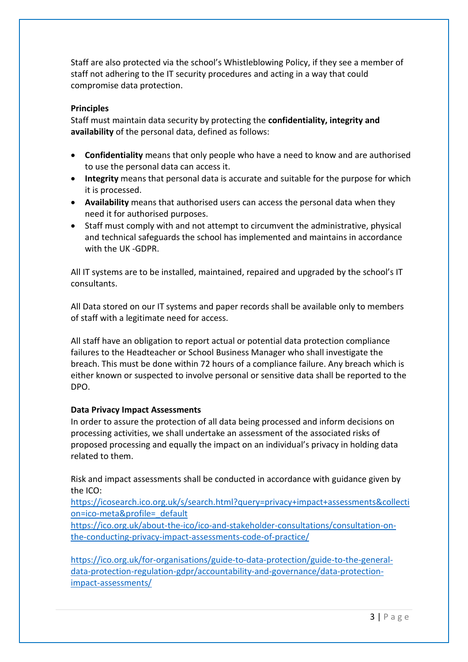Staff are also protected via the school's Whistleblowing Policy, if they see a member of staff not adhering to the IT security procedures and acting in a way that could compromise data protection.

#### **Principles**

Staff must maintain data security by protecting the **confidentiality, integrity and availability** of the personal data, defined as follows:

- **Confidentiality** means that only people who have a need to know and are authorised to use the personal data can access it.
- **Integrity** means that personal data is accurate and suitable for the purpose for which it is processed.
- **Availability** means that authorised users can access the personal data when they need it for authorised purposes.
- Staff must comply with and not attempt to circumvent the administrative, physical and technical safeguards the school has implemented and maintains in accordance with the UK -GDPR.

All IT systems are to be installed, maintained, repaired and upgraded by the school's IT consultants.

All Data stored on our IT systems and paper records shall be available only to members of staff with a legitimate need for access.

All staff have an obligation to report actual or potential data protection compliance failures to the Headteacher or School Business Manager who shall investigate the breach. This must be done within 72 hours of a compliance failure. Any breach which is either known or suspected to involve personal or sensitive data shall be reported to the DPO.

#### **Data Privacy Impact Assessments**

In order to assure the protection of all data being processed and inform decisions on processing activities, we shall undertake an assessment of the associated risks of proposed processing and equally the impact on an individual's privacy in holding data related to them.

Risk and impact assessments shall be conducted in accordance with guidance given by the ICO:

[https://icosearch.ico.org.uk/s/search.html?query=privacy+impact+assessments&collecti](https://icosearch.ico.org.uk/s/search.html?query=privacy+impact+assessments&collection=ico-meta&profile=_default) [on=ico-meta&profile=\\_default](https://icosearch.ico.org.uk/s/search.html?query=privacy+impact+assessments&collection=ico-meta&profile=_default)

[https://ico.org.uk/about-the-ico/ico-and-stakeholder-consultations/consultation-on](https://ico.org.uk/about-the-ico/ico-and-stakeholder-consultations/consultation-on-the-conducting-privacy-impact-assessments-code-of-practice/)[the-conducting-privacy-impact-assessments-code-of-practice/](https://ico.org.uk/about-the-ico/ico-and-stakeholder-consultations/consultation-on-the-conducting-privacy-impact-assessments-code-of-practice/)

[https://ico.org.uk/for-organisations/guide-to-data-protection/guide-to-the-general](https://ico.org.uk/for-organisations/guide-to-data-protection/guide-to-the-general-data-protection-regulation-gdpr/accountability-and-governance/data-protection-impact-assessments/)[data-protection-regulation-gdpr/accountability-and-governance/data-protection](https://ico.org.uk/for-organisations/guide-to-data-protection/guide-to-the-general-data-protection-regulation-gdpr/accountability-and-governance/data-protection-impact-assessments/)[impact-assessments/](https://ico.org.uk/for-organisations/guide-to-data-protection/guide-to-the-general-data-protection-regulation-gdpr/accountability-and-governance/data-protection-impact-assessments/)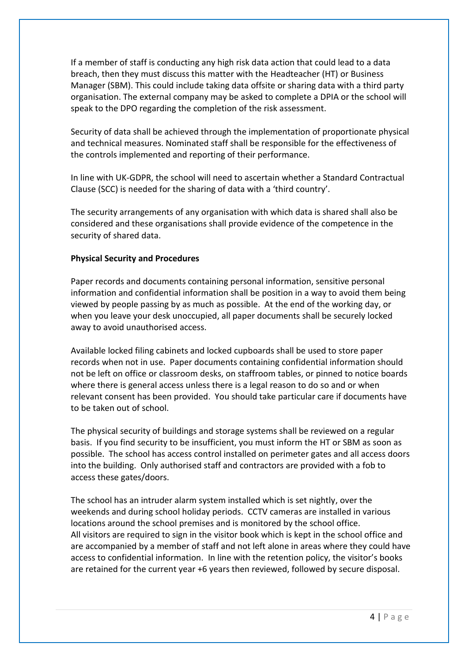If a member of staff is conducting any high risk data action that could lead to a data breach, then they must discuss this matter with the Headteacher (HT) or Business Manager (SBM). This could include taking data offsite or sharing data with a third party organisation. The external company may be asked to complete a DPIA or the school will speak to the DPO regarding the completion of the risk assessment.

Security of data shall be achieved through the implementation of proportionate physical and technical measures. Nominated staff shall be responsible for the effectiveness of the controls implemented and reporting of their performance.

In line with UK-GDPR, the school will need to ascertain whether a Standard Contractual Clause (SCC) is needed for the sharing of data with a 'third country'.

The security arrangements of any organisation with which data is shared shall also be considered and these organisations shall provide evidence of the competence in the security of shared data.

#### **Physical Security and Procedures**

Paper records and documents containing personal information, sensitive personal information and confidential information shall be position in a way to avoid them being viewed by people passing by as much as possible. At the end of the working day, or when you leave your desk unoccupied, all paper documents shall be securely locked away to avoid unauthorised access.

Available locked filing cabinets and locked cupboards shall be used to store paper records when not in use. Paper documents containing confidential information should not be left on office or classroom desks, on staffroom tables, or pinned to notice boards where there is general access unless there is a legal reason to do so and or when relevant consent has been provided. You should take particular care if documents have to be taken out of school.

The physical security of buildings and storage systems shall be reviewed on a regular basis. If you find security to be insufficient, you must inform the HT or SBM as soon as possible. The school has access control installed on perimeter gates and all access doors into the building. Only authorised staff and contractors are provided with a fob to access these gates/doors.

The school has an intruder alarm system installed which is set nightly, over the weekends and during school holiday periods. CCTV cameras are installed in various locations around the school premises and is monitored by the school office. All visitors are required to sign in the visitor book which is kept in the school office and are accompanied by a member of staff and not left alone in areas where they could have access to confidential information. In line with the retention policy, the visitor's books are retained for the current year +6 years then reviewed, followed by secure disposal.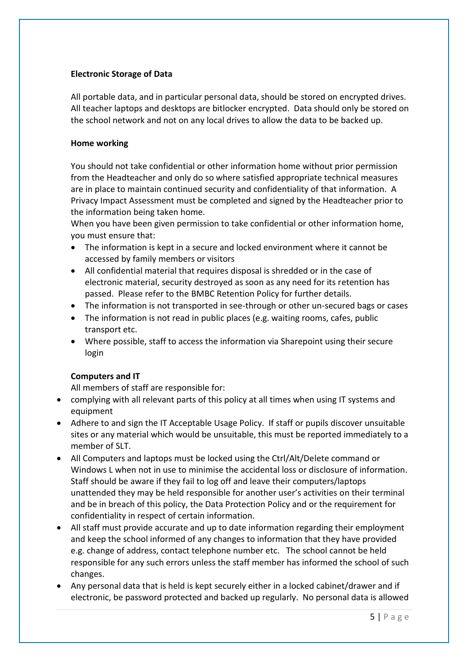## **Electronic Storage of Data**

All portable data, and in particular personal data, should be stored on encrypted drives. All teacher laptops and desktops are bitlocker encrypted. Data should only be stored on the school network and not on any local drives to allow the data to be backed up.

#### **Home working**

You should not take confidential or other information home without prior permission from the Headteacher and only do so where satisfied appropriate technical measures are in place to maintain continued security and confidentiality of that information. A Privacy Impact Assessment must be completed and signed by the Headteacher prior to the information being taken home.

When you have been given permission to take confidential or other information home, you must ensure that:

- The information is kept in a secure and locked environment where it cannot be accessed by family members or visitors
- All confidential material that requires disposal is shredded or in the case of electronic material, security destroyed as soon as any need for its retention has passed. Please refer to the BMBC Retention Policy for further details.
- The information is not transported in see-through or other un-secured bags or cases
- The information is not read in public places (e.g. waiting rooms, cafes, public transport etc.
- Where possible, staff to access the information via Sharepoint using their secure login

## **Computers and IT**

All members of staff are responsible for:

- complying with all relevant parts of this policy at all times when using IT systems and equipment
- Adhere to and sign the IT Acceptable Usage Policy. If staff or pupils discover unsuitable sites or any material which would be unsuitable, this must be reported immediately to a member of SLT.
- All Computers and laptops must be locked using the Ctrl/Alt/Delete command or Windows L when not in use to minimise the accidental loss or disclosure of information. Staff should be aware if they fail to log off and leave their computers/laptops unattended they may be held responsible for another user's activities on their terminal and be in breach of this policy, the Data Protection Policy and or the requirement for confidentiality in respect of certain information.
- All staff must provide accurate and up to date information regarding their employment and keep the school informed of any changes to information that they have provided e.g. change of address, contact telephone number etc. The school cannot be held responsible for any such errors unless the staff member has informed the school of such changes.
- Any personal data that is held is kept securely either in a locked cabinet/drawer and if electronic, be password protected and backed up regularly. No personal data is allowed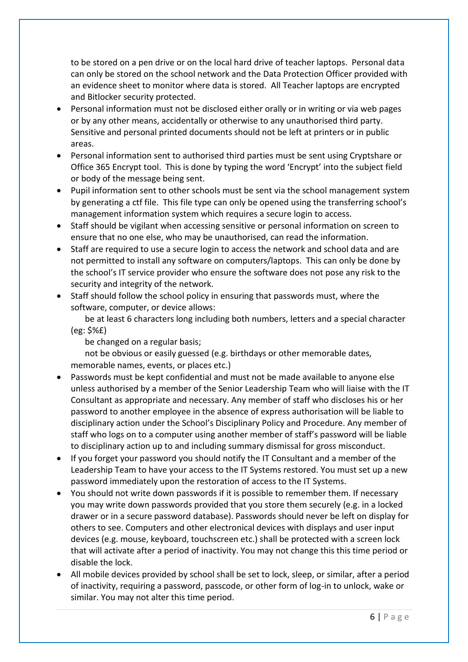to be stored on a pen drive or on the local hard drive of teacher laptops. Personal data can only be stored on the school network and the Data Protection Officer provided with an evidence sheet to monitor where data is stored. All Teacher laptops are encrypted and Bitlocker security protected.

- Personal information must not be disclosed either orally or in writing or via web pages or by any other means, accidentally or otherwise to any unauthorised third party. Sensitive and personal printed documents should not be left at printers or in public areas.
- Personal information sent to authorised third parties must be sent using Cryptshare or Office 365 Encrypt tool. This is done by typing the word 'Encrypt' into the subject field or body of the message being sent.
- Pupil information sent to other schools must be sent via the school management system by generating a ctf file. This file type can only be opened using the transferring school's management information system which requires a secure login to access.
- Staff should be vigilant when accessing sensitive or personal information on screen to ensure that no one else, who may be unauthorised, can read the information.
- Staff are required to use a secure login to access the network and school data and are not permitted to install any software on computers/laptops. This can only be done by the school's IT service provider who ensure the software does not pose any risk to the security and integrity of the network.
- Staff should follow the school policy in ensuring that passwords must, where the software, computer, or device allows:

be at least 6 characters long including both numbers, letters and a special character (eg: \$%£)

be changed on a regular basis;

not be obvious or easily guessed (e.g. birthdays or other memorable dates, memorable names, events, or places etc.)

- Passwords must be kept confidential and must not be made available to anyone else unless authorised by a member of the Senior Leadership Team who will liaise with the IT Consultant as appropriate and necessary. Any member of staff who discloses his or her password to another employee in the absence of express authorisation will be liable to disciplinary action under the School's Disciplinary Policy and Procedure. Any member of staff who logs on to a computer using another member of staff's password will be liable to disciplinary action up to and including summary dismissal for gross misconduct.
- If you forget your password you should notify the IT Consultant and a member of the Leadership Team to have your access to the IT Systems restored. You must set up a new password immediately upon the restoration of access to the IT Systems.
- You should not write down passwords if it is possible to remember them. If necessary you may write down passwords provided that you store them securely (e.g. in a locked drawer or in a secure password database). Passwords should never be left on display for others to see. Computers and other electronical devices with displays and user input devices (e.g. mouse, keyboard, touchscreen etc.) shall be protected with a screen lock that will activate after a period of inactivity. You may not change this this time period or disable the lock.
- All mobile devices provided by school shall be set to lock, sleep, or similar, after a period of inactivity, requiring a password, passcode, or other form of log-in to unlock, wake or similar. You may not alter this time period.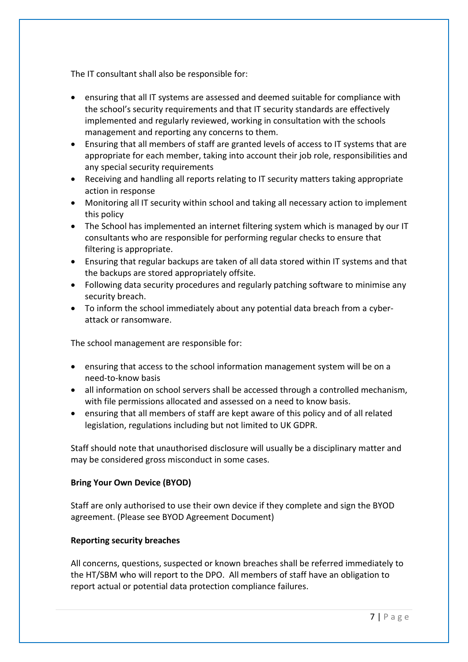The IT consultant shall also be responsible for:

- ensuring that all IT systems are assessed and deemed suitable for compliance with the school's security requirements and that IT security standards are effectively implemented and regularly reviewed, working in consultation with the schools management and reporting any concerns to them.
- Ensuring that all members of staff are granted levels of access to IT systems that are appropriate for each member, taking into account their job role, responsibilities and any special security requirements
- Receiving and handling all reports relating to IT security matters taking appropriate action in response
- Monitoring all IT security within school and taking all necessary action to implement this policy
- The School has implemented an internet filtering system which is managed by our IT consultants who are responsible for performing regular checks to ensure that filtering is appropriate.
- Ensuring that regular backups are taken of all data stored within IT systems and that the backups are stored appropriately offsite.
- Following data security procedures and regularly patching software to minimise any security breach.
- To inform the school immediately about any potential data breach from a cyberattack or ransomware.

The school management are responsible for:

- ensuring that access to the school information management system will be on a need-to-know basis
- all information on school servers shall be accessed through a controlled mechanism, with file permissions allocated and assessed on a need to know basis.
- ensuring that all members of staff are kept aware of this policy and of all related legislation, regulations including but not limited to UK GDPR.

Staff should note that unauthorised disclosure will usually be a disciplinary matter and may be considered gross misconduct in some cases.

## **Bring Your Own Device (BYOD)**

Staff are only authorised to use their own device if they complete and sign the BYOD agreement. (Please see BYOD Agreement Document)

## **Reporting security breaches**

All concerns, questions, suspected or known breaches shall be referred immediately to the HT/SBM who will report to the DPO. All members of staff have an obligation to report actual or potential data protection compliance failures.